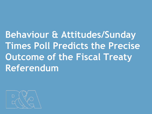**Behaviour & Attitudes/Sunday Times Poll Predicts the Precise Outcome of the Fiscal Treaty Referendum**

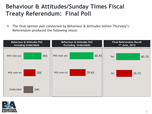## **Behaviour & Attitudes/Sunday Times Fiscal Treaty Referendum: Final Poll**

• The final opinion poll conducted by Behaviour & Attitudes before Thursday's Referendum produced the following result: